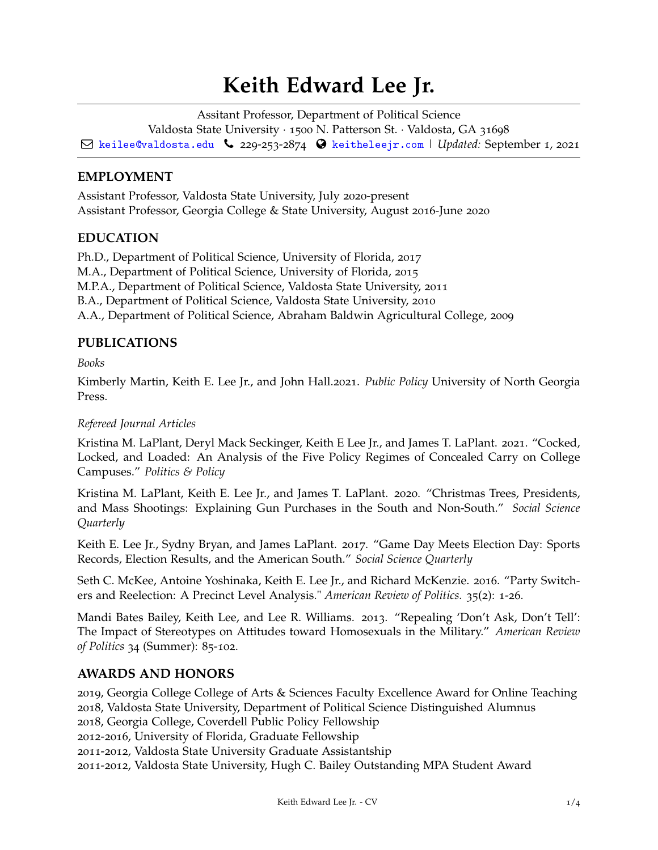# **Keith Edward Lee Jr.**

Assitant Professor, Department of Political Science Valdosta State University · 1500 N. Patterson St. · Valdosta, GA 31698 Q [keilee@valdosta.edu](mailto:) Ó 229-253-2874 [keitheleejr.com](http://keitheleejr.com) | *Updated:* September 1, 2021

## **EMPLOYMENT**

Assistant Professor, Valdosta State University, July 2020-present Assistant Professor, Georgia College & State University, August 2016-June 2020

## **EDUCATION**

Ph.D., Department of Political Science, University of Florida, 2017 M.A., Department of Political Science, University of Florida, 2015 M.P.A., Department of Political Science, Valdosta State University, 2011 B.A., Department of Political Science, Valdosta State University, 2010 A.A., Department of Political Science, Abraham Baldwin Agricultural College, 2009

# **PUBLICATIONS**

*Books*

Kimberly Martin, Keith E. Lee Jr., and John Hall.2021. *Public Policy* University of North Georgia Press.

#### *Refereed Journal Articles*

Kristina M. LaPlant, Deryl Mack Seckinger, Keith E Lee Jr., and James T. LaPlant. 2021. "Cocked, Locked, and Loaded: An Analysis of the Five Policy Regimes of Concealed Carry on College Campuses." *Politics & Policy*

Kristina M. LaPlant, Keith E. Lee Jr., and James T. LaPlant. 2020. "Christmas Trees, Presidents, and Mass Shootings: Explaining Gun Purchases in the South and Non-South." *Social Science Quarterly*

Keith E. Lee Jr., Sydny Bryan, and James LaPlant. 2017. "Game Day Meets Election Day: Sports Records, Election Results, and the American South." *Social Science Quarterly*

Seth C. McKee, Antoine Yoshinaka, Keith E. Lee Jr., and Richard McKenzie. 2016. "Party Switchers and Reelection: A Precinct Level Analysis." *American Review of Politics.* 35(2): 1-26.

Mandi Bates Bailey, Keith Lee, and Lee R. Williams. 2013. "Repealing 'Don't Ask, Don't Tell': The Impact of Stereotypes on Attitudes toward Homosexuals in the Military." *American Review of Politics* 34 (Summer): 85-102.

# **AWARDS AND HONORS**

, Georgia College College of Arts & Sciences Faculty Excellence Award for Online Teaching , Valdosta State University, Department of Political Science Distinguished Alumnus , Georgia College, Coverdell Public Policy Fellowship -2016, University of Florida, Graduate Fellowship -2012, Valdosta State University Graduate Assistantship -2012, Valdosta State University, Hugh C. Bailey Outstanding MPA Student Award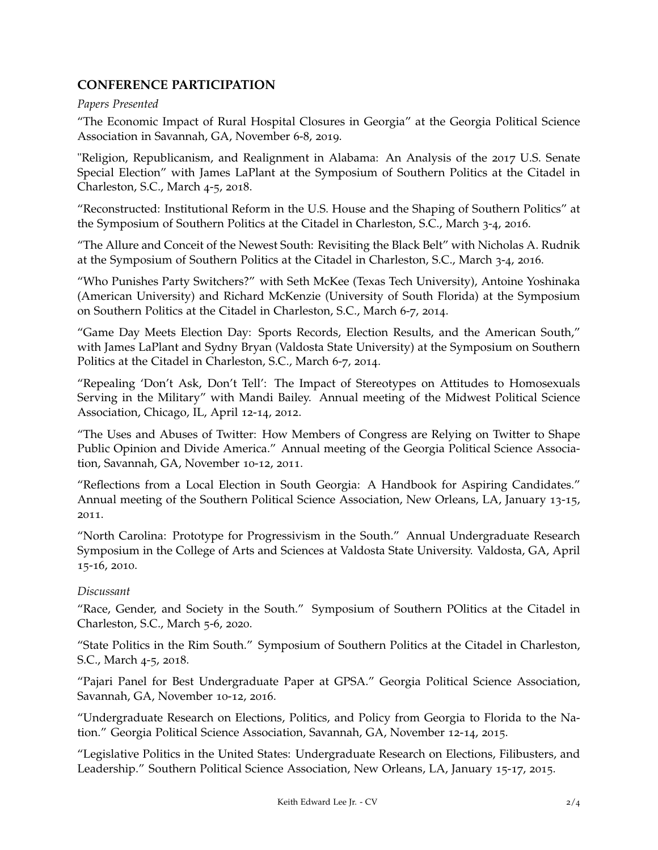# **CONFERENCE PARTICIPATION**

## *Papers Presented*

"The Economic Impact of Rural Hospital Closures in Georgia" at the Georgia Political Science Association in Savannah, GA, November 6-8, 2019.

"Religion, Republicanism, and Realignment in Alabama: An Analysis of the 2017 U.S. Senate Special Election" with James LaPlant at the Symposium of Southern Politics at the Citadel in Charleston, S.C., March 4-5, 2018.

"Reconstructed: Institutional Reform in the U.S. House and the Shaping of Southern Politics" at the Symposium of Southern Politics at the Citadel in Charleston, S.C., March 3-4, 2016.

"The Allure and Conceit of the Newest South: Revisiting the Black Belt" with Nicholas A. Rudnik at the Symposium of Southern Politics at the Citadel in Charleston, S.C., March 3-4, 2016.

"Who Punishes Party Switchers?" with Seth McKee (Texas Tech University), Antoine Yoshinaka (American University) and Richard McKenzie (University of South Florida) at the Symposium on Southern Politics at the Citadel in Charleston, S.C., March 6-7, 2014.

"Game Day Meets Election Day: Sports Records, Election Results, and the American South," with James LaPlant and Sydny Bryan (Valdosta State University) at the Symposium on Southern Politics at the Citadel in Charleston, S.C., March 6-7, 2014.

"Repealing 'Don't Ask, Don't Tell': The Impact of Stereotypes on Attitudes to Homosexuals Serving in the Military" with Mandi Bailey. Annual meeting of the Midwest Political Science Association, Chicago, IL, April 12-14, 2012.

"The Uses and Abuses of Twitter: How Members of Congress are Relying on Twitter to Shape Public Opinion and Divide America." Annual meeting of the Georgia Political Science Association, Savannah, GA, November 10-12, 2011.

"Reflections from a Local Election in South Georgia: A Handbook for Aspiring Candidates." Annual meeting of the Southern Political Science Association, New Orleans, LA, January 13-15, 2011.

"North Carolina: Prototype for Progressivism in the South." Annual Undergraduate Research Symposium in the College of Arts and Sciences at Valdosta State University. Valdosta, GA, April 15-16, 2010.

## *Discussant*

"Race, Gender, and Society in the South." Symposium of Southern POlitics at the Citadel in Charleston, S.C., March 5-6, 2020.

"State Politics in the Rim South." Symposium of Southern Politics at the Citadel in Charleston, S.C., March 4-5, 2018.

"Pajari Panel for Best Undergraduate Paper at GPSA." Georgia Political Science Association, Savannah, GA, November 10-12, 2016.

"Undergraduate Research on Elections, Politics, and Policy from Georgia to Florida to the Nation." Georgia Political Science Association, Savannah, GA, November 12-14, 2015.

"Legislative Politics in the United States: Undergraduate Research on Elections, Filibusters, and Leadership." Southern Political Science Association, New Orleans, LA, January 15-17, 2015.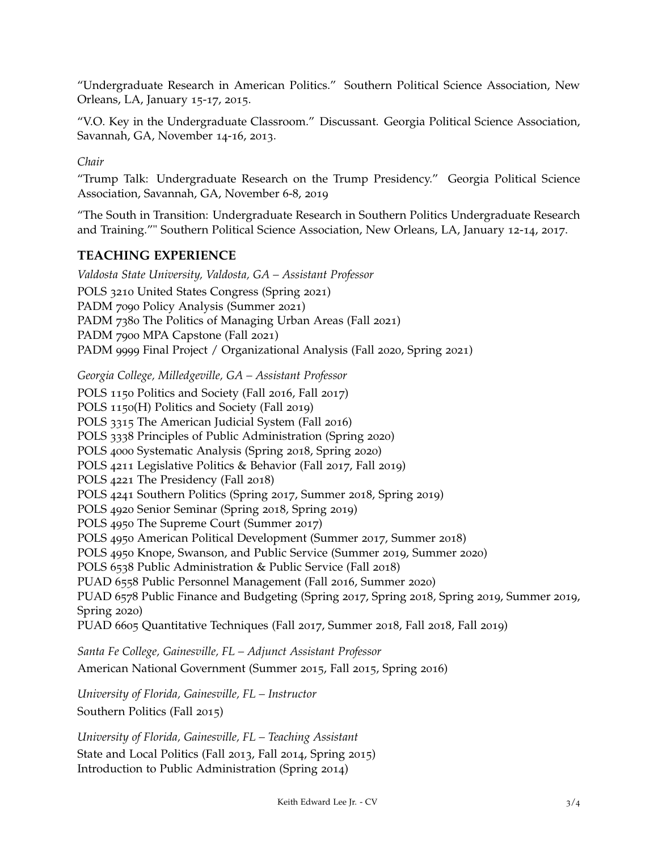"Undergraduate Research in American Politics." Southern Political Science Association, New Orleans, LA, January 15-17, 2015.

"V.O. Key in the Undergraduate Classroom." Discussant. Georgia Political Science Association, Savannah, GA, November 14-16, 2013.

*Chair*

"Trump Talk: Undergraduate Research on the Trump Presidency." Georgia Political Science Association, Savannah, GA, November 6-8, 2019

"The South in Transition: Undergraduate Research in Southern Politics Undergraduate Research and Training."" Southern Political Science Association, New Orleans, LA, January 12-14, 2017.

## **TEACHING EXPERIENCE**

*Valdosta State University, Valdosta, GA – Assistant Professor* POLS 3210 United States Congress (Spring 2021) PADM 7090 Policy Analysis (Summer 2021) PADM 7380 The Politics of Managing Urban Areas (Fall 2021) PADM 7900 MPA Capstone (Fall 2021) PADM 9999 Final Project / Organizational Analysis (Fall 2020, Spring 2021)

*Georgia College, Milledgeville, GA – Assistant Professor*

POLS 1150 Politics and Society (Fall 2016, Fall 2017) POLS 1150(H) Politics and Society (Fall 2019) POLS 3315 The American Judicial System (Fall 2016) POLS 3338 Principles of Public Administration (Spring 2020) POLS 4000 Systematic Analysis (Spring 2018, Spring 2020) POLS 4211 Legislative Politics & Behavior (Fall 2017, Fall 2019) POLS 4221 The Presidency (Fall 2018) POLS 4241 Southern Politics (Spring 2017, Summer 2018, Spring 2019) POLS 4920 Senior Seminar (Spring 2018, Spring 2019) POLS 4950 The Supreme Court (Summer 2017) POLS 4950 American Political Development (Summer 2017, Summer 2018) POLS 4950 Knope, Swanson, and Public Service (Summer 2019, Summer 2020) POLS 6538 Public Administration & Public Service (Fall 2018) PUAD 6558 Public Personnel Management (Fall 2016, Summer 2020) PUAD 6578 Public Finance and Budgeting (Spring 2017, Spring 2018, Spring 2019, Summer 2019, Spring 2020) PUAD 6605 Quantitative Techniques (Fall 2017, Summer 2018, Fall 2018, Fall 2019)

*Santa Fe College, Gainesville, FL – Adjunct Assistant Professor* American National Government (Summer 2015, Fall 2015, Spring 2016)

*University of Florida, Gainesville, FL – Instructor* Southern Politics (Fall 2015)

*University of Florida, Gainesville, FL – Teaching Assistant* State and Local Politics (Fall 2013, Fall 2014, Spring 2015) Introduction to Public Administration (Spring 2014)